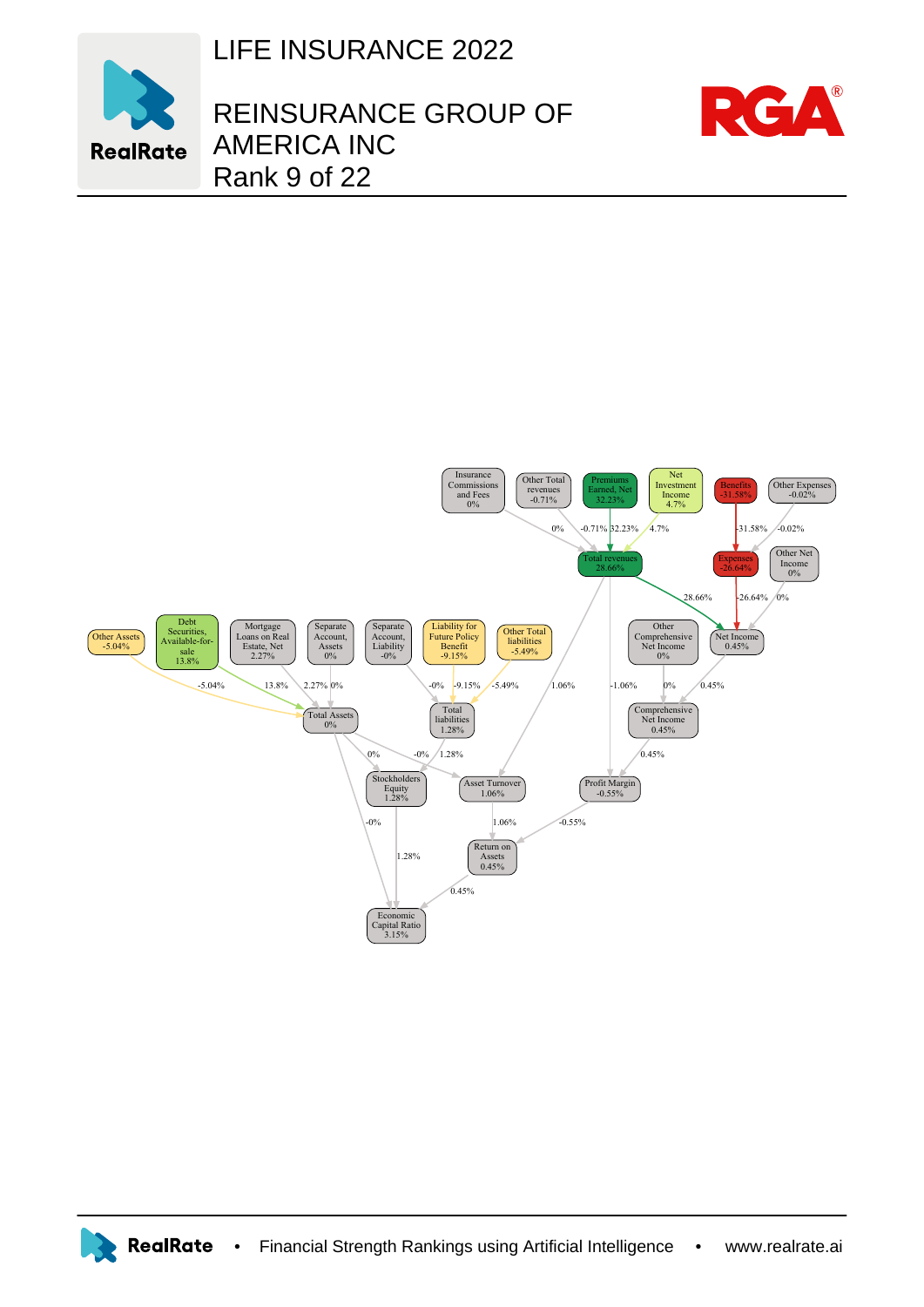LIFE INSURANCE 2022



## REINSURANCE GROUP OF AMERICA INC Rank 9 of 22